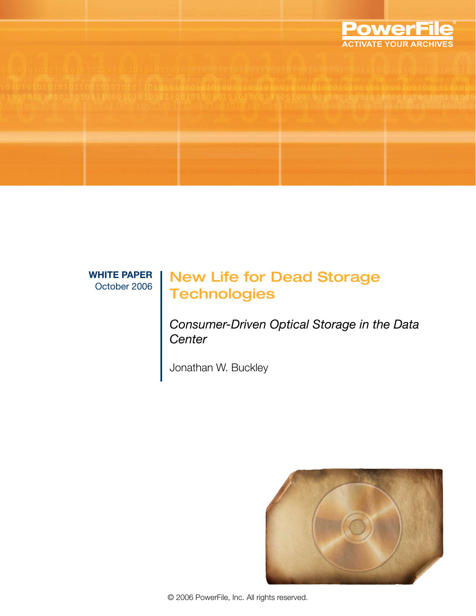

**WHITE PAPER**

# VHITE PAPER | New Life for Dead Storage **Technologies**

*Consumer-Driven Optical Storage in the Data Center*

Jonathan W. Buckley

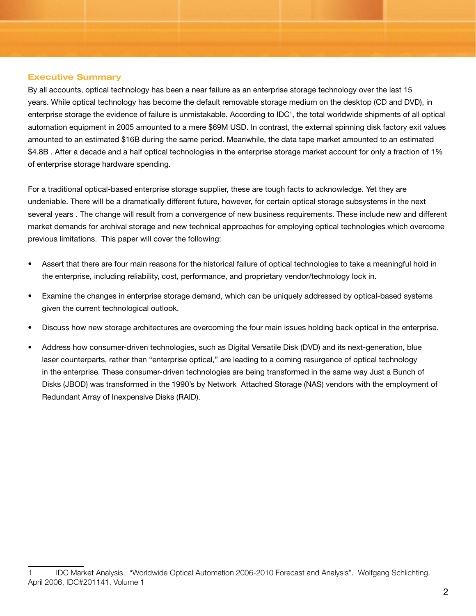#### **Executive Summary**

By all accounts, optical technology has been a near failure as an enterprise storage technology over the last 15 years. While optical technology has become the default removable storage medium on the desktop (CD and DVD), in enterprise storage the evidence of failure is unmistakable. According to IDC<sup>1</sup>, the total worldwide shipments of all optical automation equipment in 2005 amounted to a mere \$69M USD. In contrast, the external spinning disk factory exit values amounted to an estimated \$16B during the same period. Meanwhile, the data tape market amounted to an estimated \$4.8B. After a decade and a half optical technologies in the enterprise storage market account for only a fraction of 1% of enterprise storage hardware spending.

For a traditional optical-based enterprise storage supplier, these are tough facts to acknowledge. Yet they are undeniable. There will be a dramatically different future, however, for certain optical storage subsystems in the next several years . The change will result from a convergence of new business requirements. These include new and different market demands for archival storage and new technical approaches for employing optical technologies which overcome previous limitations. This paper will cover the following:

- Assert that there are four main reasons for the historical failure of optical technologies to take a meaningful hold in the enterprise, including reliability, cost, performance, and proprietary vendor/technology lock in. •
- Examine the changes in enterprise storage demand, which can be uniquely addressed by optical-based systems given the current technological outlook. •
- Discuss how new storage architectures are overcoming the four main issues holding back optical in the enterprise. •
- Address how consumer-driven technologies, such as Digital Versatile Disk (DVD) and its next-generation, blue laser counterparts, rather than "enterprise optical," are leading to a coming resurgence of optical technology in the enterprise. These consumer-driven technologies are being transformed in the same way Just a Bunch of Disks (JBOD) was transformed in the 1990's by Network Attached Storage (NAS) vendors with the employment of Redundant Array of Inexpensive Disks (RAID). •

IDC Market Analysis. "Worldwide Optical Automation 2006-2010 Forecast and Analysis". Wolfgang Schlichting. April 2006, IDC#201141, Volume 1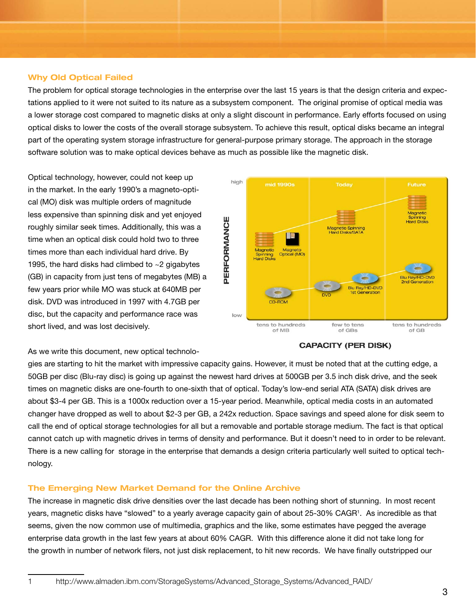#### **Why Old Optical Failed**

The problem for optical storage technologies in the enterprise over the last 15 years is that the design criteria and expectations applied to it were not suited to its nature as a subsystem component. The original promise of optical media was a lower storage cost compared to magnetic disks at only a slight discount in performance. Early efforts focused on using optical disks to lower the costs of the overall storage subsystem. To achieve this result, optical disks became an integral part of the operating system storage infrastructure for general-purpose primary storage. The approach in the storage software solution was to make optical devices behave as much as possible like the magnetic disk.

Optical technology, however, could not keep up in the market. In the early 1990's a magneto-optical (MO) disk was multiple orders of magnitude less expensive than spinning disk and yet enjoyed roughly similar seek times. Additionally, this was a time when an optical disk could hold two to three times more than each individual hard drive. By 1995, the hard disks had climbed to  $\sim$  2 gigabytes (GB) in capacity from just tens of megabytes (MB) a few years prior while MO was stuck at 640MB per disk. DVD was introduced in 1997 with 4.7GB per disc, but the capacity and performance race was short lived, and was lost decisively.



As we write this document, new optical technolo-

gies are starting to hit the market with impressive capacity gains. However, it must be noted that at the cutting edge, a 50GB per disc (Blu-ray disc) is going up against the newest hard drives at 500GB per 3.5 inch disk drive, and the seek times on magnetic disks are one-fourth to one-sixth that of optical. Today's low-end serial ATA (SATA) disk drives are about \$3-4 per GB. This is a 1000x reduction over a 15-year period. Meanwhile, optical media costs in an automated changer have dropped as well to about \$2-3 per GB, a 242x reduction. Space savings and speed alone for disk seem to call the end of optical storage technologies for all but a removable and portable storage medium. The fact is that optical cannot catch up with magnetic drives in terms of density and performance. But it doesn't need to in order to be relevant. There is a new calling for storage in the enterprise that demands a design criteria particularly well suited to optical technology.

#### **The Emerging New Market Demand for the Online Archive**

The increase in magnetic disk drive densities over the last decade has been nothing short of stunning. In most recent years, magnetic disks have "slowed" to a yearly average capacity gain of about 25-30% CAGR1 . As incredible as that seems, given the now common use of multimedia, graphics and the like, some estimates have pegged the average enterprise data growth in the last few years at about 60% CAGR. With this difference alone it did not take long for the growth in number of network filers, not just disk replacement, to hit new records. We have finally outstripped our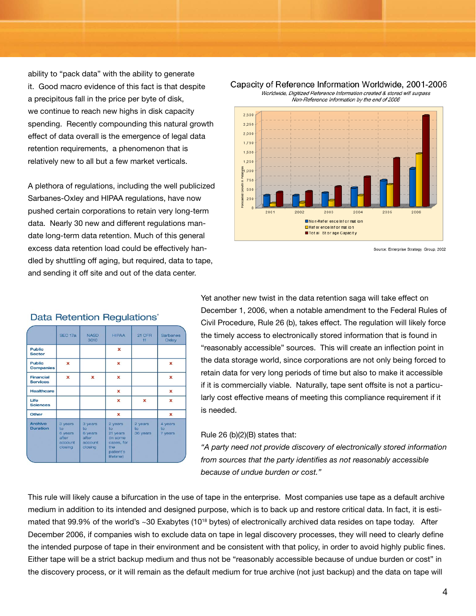ability to "pack data" with the ability to generate it. Good macro evidence of this fact is that despite a precipitous fall in the price per byte of disk, we continue to reach new highs in disk capacity spending. Recently compounding this natural growth effect of data overall is the emergence of legal data retention requirements, a phenomenon that is relatively new to all but a few market verticals.

A plethora of regulations, including the well publicized Sarbanes-Oxley and HIPAA regulations, have now pushed certain corporations to retain very long-term data. Nearly 30 new and different regulations mandate long-term data retention. Much of this general excess data retention load could be effectively handled by shuttling off aging, but required, data to tape, and sending it off site and out of the data center.



#### Capacity of Reference Information Worldwide, 2001-2006 Worldwide, Digitized Reference Information created & stored will surpass

Non-Reference Information by the end of 2006

Source: Enterprise Strategy Group, 2002

|                                     | SEC 17a                                                 | <b>NASD</b><br>3010                                     | <b>HIPAA</b>                                                                         | 21 CFR<br>11              | <b>Sarbanes</b><br>Oxley |  |
|-------------------------------------|---------------------------------------------------------|---------------------------------------------------------|--------------------------------------------------------------------------------------|---------------------------|--------------------------|--|
| <b>Public</b><br><b>Sector</b>      |                                                         |                                                         | x                                                                                    |                           |                          |  |
| <b>Public</b><br><b>Companies</b>   | x                                                       |                                                         | ×                                                                                    |                           | x                        |  |
| <b>Financial</b><br><b>Services</b> | x                                                       | x                                                       | x                                                                                    |                           | x                        |  |
| <b>Healthcare</b>                   |                                                         |                                                         | x                                                                                    |                           | x                        |  |
| Life<br><b>Sciences</b>             |                                                         |                                                         | x                                                                                    | x                         | x                        |  |
| Other                               |                                                         |                                                         | x                                                                                    |                           | x                        |  |
| <b>Archive</b><br><b>Duration</b>   | 3 years<br>to<br>6 years<br>after<br>account<br>closing | 3 years<br>to<br>6 years<br>after<br>account<br>closing | 2 years<br>to<br>21 years<br>(in some<br>cases, for<br>the<br>patient's<br>lifetime) | 2 years<br>to<br>36 years | 4 years<br>to<br>7 years |  |

# Data Retention Requlations'

Yet another new twist in the data retention saga will take effect on December 1, 2006, when a notable amendment to the Federal Rules of Civil Procedure, Rule 26 (b), takes effect. The regulation will likely force the timely access to electronically stored information that is found in "reasonably accessible" sources. This will create an inflection point in the data storage world, since corporations are not only being forced to retain data for very long periods of time but also to make it accessible if it is commercially viable. Naturally, tape sent offsite is not a particularly cost effective means of meeting this compliance requirement if it is needed.

#### Rule 26 (b)(2)(B) states that:

*"A party need not provide discovery of electronically stored information from sources that the party identifies as not reasonably accessible because of undue burden or cost."*

This rule will likely cause a bifurcation in the use of tape in the enterprise. Most companies use tape as a default archive medium in addition to its intended and designed purpose, which is to back up and restore critical data. In fact, it is estimated that 99.9% of the world's ~30 Exabytes (10<sup>18</sup> bytes) of electronically archived data resides on tape today. After December 2006, if companies wish to exclude data on tape in legal discovery processes, they will need to clearly define the intended purpose of tape in their environment and be consistent with that policy, in order to avoid highly public fines. Either tape will be a strict backup medium and thus not be "reasonably accessible because of undue burden or cost" in the discovery process, or it will remain as the default medium for true archive (not just backup) and the data on tape will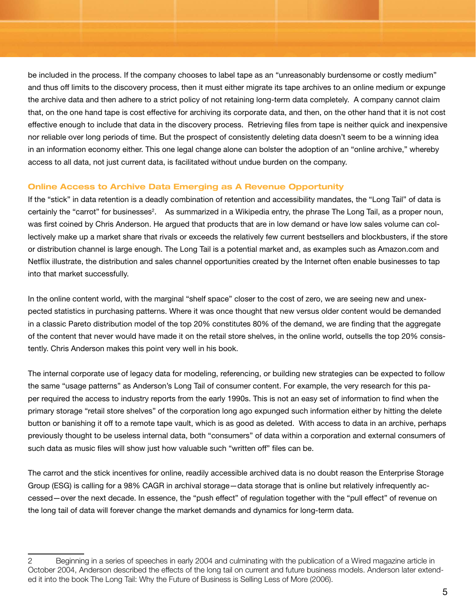be included in the process. If the company chooses to label tape as an "unreasonably burdensome or costly medium" and thus off limits to the discovery process, then it must either migrate its tape archives to an online medium or expunge the archive data and then adhere to a strict policy of not retaining long-term data completely. A company cannot claim that, on the one hand tape is cost effective for archiving its corporate data, and then, on the other hand that it is not cost effective enough to include that data in the discovery process. Retrieving files from tape is neither quick and inexpensive nor reliable over long periods of time. But the prospect of consistently deleting data doesn't seem to be a winning idea in an information economy either. This one legal change alone can bolster the adoption of an "online archive," whereby access to all data, not just current data, is facilitated without undue burden on the company.

#### **Online Access to Archive Data Emerging as A Revenue Opportunity**

If the "stick" in data retention is a deadly combination of retention and accessibility mandates, the "Long Tail" of data is certainly the "carrot" for businesses<sup>2</sup>. As summarized in a Wikipedia entry, the phrase The Long Tail, as a proper noun, was first coined by Chris Anderson. He argued that products that are in low demand or have low sales volume can collectively make up a market share that rivals or exceeds the relatively few current bestsellers and blockbusters, if the store or distribution channel is large enough. The Long Tail is a potential market and, as examples such as Amazon.com and Netflix illustrate, the distribution and sales channel opportunities created by the Internet often enable businesses to tap into that market successfully.

In the online content world, with the marginal "shelf space" closer to the cost of zero, we are seeing new and unexpected statistics in purchasing patterns. Where it was once thought that new versus older content would be demanded in a classic Pareto distribution model of the top 20% constitutes 80% of the demand, we are finding that the aggregate of the content that never would have made it on the retail store shelves, in the online world, outsells the top 20% consistently. Chris Anderson makes this point very well in his book.

The internal corporate use of legacy data for modeling, referencing, or building new strategies can be expected to follow the same "usage patterns" as Anderson's Long Tail of consumer content. For example, the very research for this paper required the access to industry reports from the early 1990s. This is not an easy set of information to find when the primary storage "retail store shelves" of the corporation long ago expunged such information either by hitting the delete button or banishing it off to a remote tape vault, which is as good as deleted. With access to data in an archive, perhaps previously thought to be useless internal data, both "consumers" of data within a corporation and external consumers of such data as music files will show just how valuable such "written off" files can be.

The carrot and the stick incentives for online, readily accessible archived data is no doubt reason the Enterprise Storage Group (ESG) is calling for a 98% CAGR in archival storage—data storage that is online but relatively infrequently accessed—over the next decade. In essence, the "push effect" of regulation together with the "pull effect" of revenue on the long tail of data will forever change the market demands and dynamics for long-term data.

Beginning in a series of speeches in early 2004 and culminating with the publication of a Wired magazine article in October 2004, Anderson described the effects of the long tail on current and future business models. Anderson later extended it into the book The Long Tail: Why the Future of Business is Selling Less of More (2006).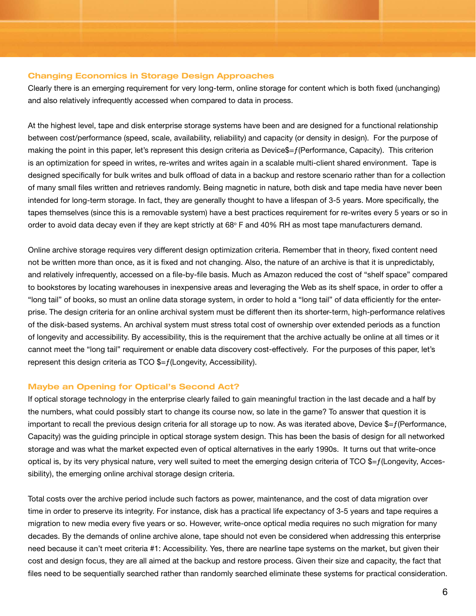#### **Changing Economics in Storage Design Approaches**

Clearly there is an emerging requirement for very long-term, online storage for content which is both fixed (unchanging) and also relatively infrequently accessed when compared to data in process.

At the highest level, tape and disk enterprise storage systems have been and are designed for a functional relationship between cost/performance (speed, scale, availability, reliability) and capacity (or density in design). For the purpose of making the point in this paper, let's represent this design criteria as Device\$=ƒ(Performance, Capacity). This criterion is an optimization for speed in writes, re-writes and writes again in a scalable multi-client shared environment. Tape is designed specifically for bulk writes and bulk offload of data in a backup and restore scenario rather than for a collection of many small files written and retrieves randomly. Being magnetic in nature, both disk and tape media have never been intended for long-term storage. In fact, they are generally thought to have a lifespan of 3-5 years. More specifically, the tapes themselves (since this is a removable system) have a best practices requirement for re-writes every 5 years or so in order to avoid data decay even if they are kept strictly at  $68^{\circ}$  F and 40% RH as most tape manufacturers demand.

Online archive storage requires very different design optimization criteria. Remember that in theory, fixed content need not be written more than once, as it is fixed and not changing. Also, the nature of an archive is that it is unpredictably, and relatively infrequently, accessed on a file-by-file basis. Much as Amazon reduced the cost of "shelf space" compared to bookstores by locating warehouses in inexpensive areas and leveraging the Web as its shelf space, in order to offer a "long tail" of books, so must an online data storage system, in order to hold a "long tail" of data efficiently for the enterprise. The design criteria for an online archival system must be different then its shorter-term, high-performance relatives of the disk-based systems. An archival system must stress total cost of ownership over extended periods as a function of longevity and accessibility. By accessibility, this is the requirement that the archive actually be online at all times or it cannot meet the "long tail" requirement or enable data discovery cost-effectively. For the purposes of this paper, let's represent this design criteria as  $TCO$  \$= $f$ (Longevity, Accessibility).

#### **Maybe an Opening for Optical's Second Act?**

If optical storage technology in the enterprise clearly failed to gain meaningful traction in the last decade and a half by the numbers, what could possibly start to change its course now, so late in the game? To answer that question it is important to recall the previous design criteria for all storage up to now. As was iterated above, Device  $= f$  (Performance, Capacity) was the guiding principle in optical storage system design. This has been the basis of design for all networked storage and was what the market expected even of optical alternatives in the early 1990s. It turns out that write-once optical is, by its very physical nature, very well suited to meet the emerging design criteria of  $TCO$  \$= $f$ (Longevity, Accessibility), the emerging online archival storage design criteria.

Total costs over the archive period include such factors as power, maintenance, and the cost of data migration over time in order to preserve its integrity. For instance, disk has a practical life expectancy of 3-5 years and tape requires a migration to new media every five years or so. However, write-once optical media requires no such migration for many decades. By the demands of online archive alone, tape should not even be considered when addressing this enterprise need because it can't meet criteria #1: Accessibility. Yes, there are nearline tape systems on the market, but given their cost and design focus, they are all aimed at the backup and restore process. Given their size and capacity, the fact that files need to be sequentially searched rather than randomly searched eliminate these systems for practical consideration.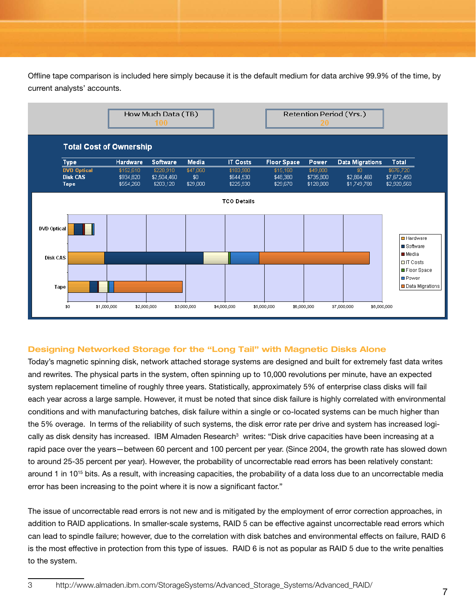Offline tape comparison is included here simply because it is the default medium for data archive 99.9% of the time, by current analysts' accounts.



#### **Designing Networked Storage for the "Long Tail" with Magnetic Disks Alone**

Today's magnetic spinning disk, network attached storage systems are designed and built for extremely fast data writes and rewrites. The physical parts in the system, often spinning up to 10,000 revolutions per minute, have an expected system replacement timeline of roughly three years. Statistically, approximately 5% of enterprise class disks will fail each year across a large sample. However, it must be noted that since disk failure is highly correlated with environmental conditions and with manufacturing batches, disk failure within a single or co-located systems can be much higher than the 5% overage. In terms of the reliability of such systems, the disk error rate per drive and system has increased logically as disk density has increased. IBM Almaden Research<sup>3</sup> writes: "Disk drive capacities have been increasing at a rapid pace over the years—between 60 percent and 100 percent per year. (Since 2004, the growth rate has slowed down to around 25-35 percent per year). However, the probability of uncorrectable read errors has been relatively constant: around 1 in 1015 bits. As a result, with increasing capacities, the probability of a data loss due to an uncorrectable media error has been increasing to the point where it is now a significant factor."

The issue of uncorrectable read errors is not new and is mitigated by the employment of error correction approaches, in addition to RAID applications. In smaller-scale systems, RAID 5 can be effective against uncorrectable read errors which can lead to spindle failure; however, due to the correlation with disk batches and environmental effects on failure, RAID 6 is the most effective in protection from this type of issues. RAID 6 is not as popular as RAID 5 due to the write penalties to the system.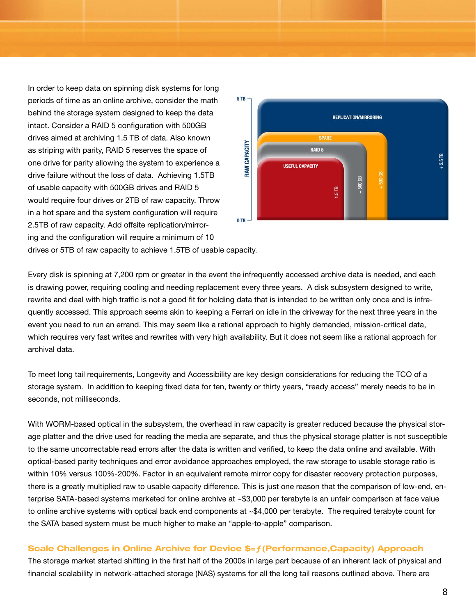In order to keep data on spinning disk systems for long periods of time as an online archive, consider the math behind the storage system designed to keep the data intact. Consider a RAID 5 configuration with 500GB drives aimed at archiving 1.5 TB of data. Also known as striping with parity, RAID 5 reserves the space of one drive for parity allowing the system to experience a drive failure without the loss of data. Achieving 1.5TB of usable capacity with 500GB drives and RAID 5 would require four drives or 2TB of raw capacity. Throw in a hot spare and the system configuration will require 2.5TB of raw capacity. Add offsite replication/mirroring and the configuration will require a minimum of 10



drives or 5TB of raw capacity to achieve 1.5TB of usable capacity.

Every disk is spinning at 7,200 rpm or greater in the event the infrequently accessed archive data is needed, and each is drawing power, requiring cooling and needing replacement every three years. A disk subsystem designed to write, rewrite and deal with high traffic is not a good fit for holding data that is intended to be written only once and is infrequently accessed. This approach seems akin to keeping a Ferrari on idle in the driveway for the next three years in the event you need to run an errand. This may seem like a rational approach to highly demanded, mission-critical data, which requires very fast writes and rewrites with very high availability. But it does not seem like a rational approach for archival data.

To meet long tail requirements, Longevity and Accessibility are key design considerations for reducing the TCO of a storage system. In addition to keeping fixed data for ten, twenty or thirty years, "ready access" merely needs to be in seconds, not milliseconds.

With WORM-based optical in the subsystem, the overhead in raw capacity is greater reduced because the physical storage platter and the drive used for reading the media are separate, and thus the physical storage platter is not susceptible to the same uncorrectable read errors after the data is written and verified, to keep the data online and available. With optical-based parity techniques and error avoidance approaches employed, the raw storage to usable storage ratio is within 10% versus 100%-200%. Factor in an equivalent remote mirror copy for disaster recovery protection purposes, there is a greatly multiplied raw to usable capacity difference. This is just one reason that the comparison of low-end, enterprise SATA-based systems marketed for online archive at ~\$3,000 per terabyte is an unfair comparison at face value to online archive systems with optical back end components at ~\$4,000 per terabyte. The required terabyte count for the SATA based system must be much higher to make an "apple-to-apple" comparison.

#### **Scale Challenges in Online Archive for Device \$=ƒ(Performance,Capacity) Approach**

The storage market started shifting in the first half of the 2000s in large part because of an inherent lack of physical and financial scalability in network-attached storage (NAS) systems for all the long tail reasons outlined above. There are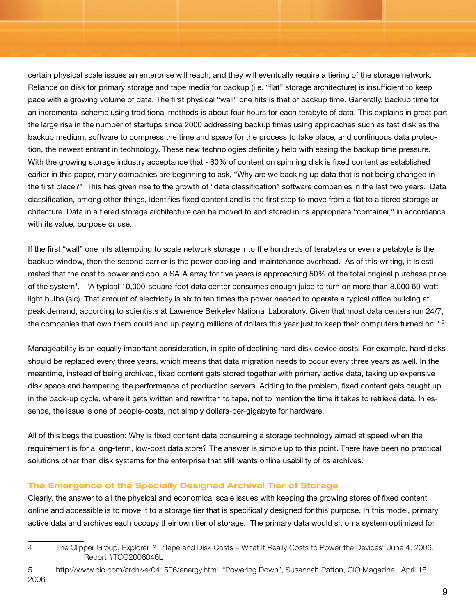certain physical scale issues an enterprise will reach, and they will eventually require a tiering of the storage network. Reliance on disk for primary storage and tape media for backup (i.e. "flat" storage architecture) is insufficient to keep pace with a growing volume of data. The first physical "wall" one hits is that of backup time. Generally, backup time for an incremental scheme using traditional methods is about four hours for each terabyte of data. This explains in great part the large rise in the number of startups since 2000 addressing backup times using approaches such as fast disk as the backup medium, software to compress the time and space for the process to take place, and continuous data protection, the newest entrant in technology. These new technologies definitely help with easing the backup time pressure. With the growing storage industry acceptance that ~60% of content on spinning disk is fixed content as established earlier in this paper, many companies are beginning to ask, "Why are we backing up data that is not being changed in the first place?" This has given rise to the growth of "data classification" software companies in the last two years. Data classification, among other things, identifies fixed content and is the first step to move from a flat to a tiered storage architecture. Data in a tiered storage architecture can be moved to and stored in its appropriate "container," in accordance with its value, purpose or use.

If the first "wall" one hits attempting to scale network storage into the hundreds of terabytes or even a petabyte is the backup window, then the second barrier is the power-cooling-and-maintenance overhead. As of this writing, it is estimated that the cost to power and cool a SATA array for five years is approaching 50% of the total original purchase price of the system4 . "A typical 10,000-square-foot data center consumes enough juice to turn on more than 8,000 60-watt light bulbs (sic). That amount of electricity is six to ten times the power needed to operate a typical office building at peak demand, according to scientists at Lawrence Berkeley National Laboratory. Given that most data centers run 24/7, the companies that own them could end up paying millions of dollars this year just to keep their computers turned on." <sup>5</sup>

Manageability is an equally important consideration, in spite of declining hard disk device costs. For example, hard disks should be replaced every three years, which means that data migration needs to occur every three years as well. In the meantime, instead of being archived, fixed content gets stored together with primary active data, taking up expensive disk space and hampering the performance of production servers. Adding to the problem, fixed content gets caught up in the back-up cycle, where it gets written and rewritten to tape, not to mention the time it takes to retrieve data. In essence, the issue is one of people-costs, not simply dollars-per-gigabyte for hardware.

All of this begs the question: Why is fixed content data consuming a storage technology aimed at speed when the requirement is for a long-term, low-cost data store? The answer is simple up to this point. There have been no practical solutions other than disk systems for the enterprise that still wants online usability of its archives.

#### **The Emergence of the Specially Designed Archival Tier of Storage**

Clearly, the answer to all the physical and economical scale issues with keeping the growing stores of fixed content online and accessible is to move it to a storage tier that is specifically designed for this purpose. In this model, primary active data and archives each occupy their own tier of storage. The primary data would sit on a system optimized for

The Clipper Group, Explorer™, "Tape and Disk Costs – What It Really Costs to Power the Devices" June 4, 2006. Report #TCG2006046L

http://www.cio.com/archive/041506/energy.html "Powering Down", Susannah Patton, CIO Magazine. April 15, 2006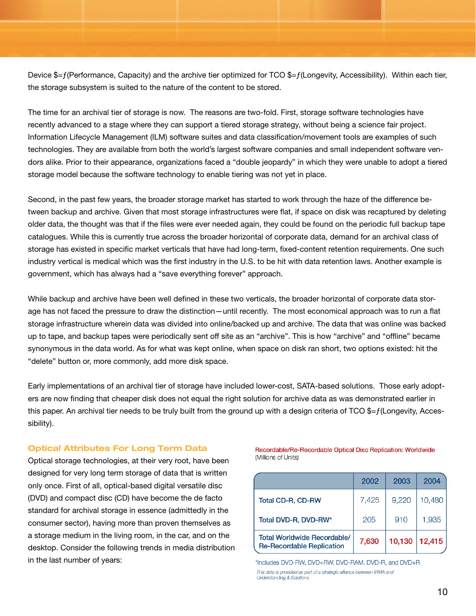Device  $\frac{1}{2}$  = f(Performance, Capacity) and the archive tier optimized for TCO  $\frac{1}{2}$  = f(Longevity, Accessibility). Within each tier, the storage subsystem is suited to the nature of the content to be stored.

The time for an archival tier of storage is now. The reasons are two-fold. First, storage software technologies have recently advanced to a stage where they can support a tiered storage strategy, without being a science fair project. Information Lifecycle Management (ILM) software suites and data classification/movement tools are examples of such technologies. They are available from both the world's largest software companies and small independent software vendors alike. Prior to their appearance, organizations faced a "double jeopardy" in which they were unable to adopt a tiered storage model because the software technology to enable tiering was not yet in place.

Second, in the past few years, the broader storage market has started to work through the haze of the difference between backup and archive. Given that most storage infrastructures were flat, if space on disk was recaptured by deleting older data, the thought was that if the files were ever needed again, they could be found on the periodic full backup tape catalogues. While this is currently true across the broader horizontal of corporate data, demand for an archival class of storage has existed in specific market verticals that have had long-term, fixed-content retention requirements. One such industry vertical is medical which was the first industry in the U.S. to be hit with data retention laws. Another example is government, which has always had a "save everything forever" approach.

While backup and archive have been well defined in these two verticals, the broader horizontal of corporate data storage has not faced the pressure to draw the distinction—until recently. The most economical approach was to run a flat storage infrastructure wherein data was divided into online/backed up and archive. The data that was online was backed up to tape, and backup tapes were periodically sent off site as an "archive". This is how "archive" and "offline" became synonymous in the data world. As for what was kept online, when space on disk ran short, two options existed: hit the "delete" button or, more commonly, add more disk space.

Early implementations of an archival tier of storage have included lower-cost, SATA-based solutions. Those early adopters are now finding that cheaper disk does not equal the right solution for archive data as was demonstrated earlier in this paper. An archival tier needs to be truly built from the ground up with a design criteria of TCO \$=f(Longevity, Accessibility).

#### **Optical Attributes For Long Term Data**

Optical storage technologies, at their very root, have been designed for very long term storage of data that is written only once. First of all, optical-based digital versatile disc (DVD) and compact disc (CD) have become the de facto standard for archival storage in essence (admittedly in the consumer sector), having more than proven themselves as a storage medium in the living room, in the car, and on the desktop. Consider the following trends in media distribution in the last number of years:

Recordable/Re-Recordable Optical Disc Replication: Worldwide (Millions of Units)

|                                                                        | 2002  | 2003   | 2004   |
|------------------------------------------------------------------------|-------|--------|--------|
| Total CD-R, CD-RW                                                      | 7,425 | 9,220  | 10,480 |
| Total DVD-R, DVD-RW*                                                   | 205   | 910    | 1,935  |
| <b>Total Worldwide Recordable/</b><br><b>Re-Recordable Replication</b> | 7,630 | 10,130 | 12,415 |

\*Includes DVD-RW, DVD+RW, DVD-RAM, DVD-R, and DVD+R This data is provided as part of a strategic alliance between IRMA and **Understanding & Solutions**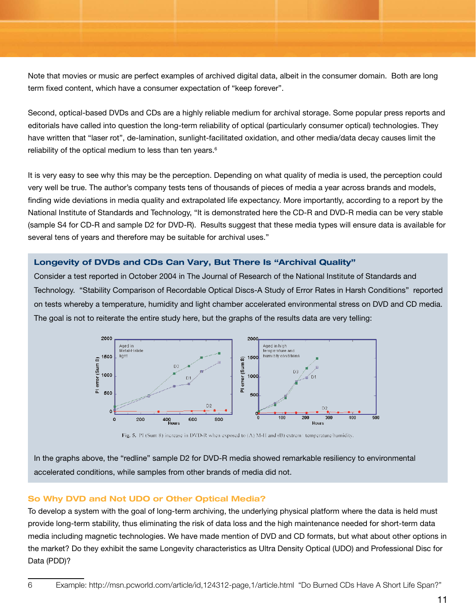Note that movies or music are perfect examples of archived digital data, albeit in the consumer domain. Both are long term fixed content, which have a consumer expectation of "keep forever".

Second, optical-based DVDs and CDs are a highly reliable medium for archival storage. Some popular press reports and editorials have called into question the long-term reliability of optical (particularly consumer optical) technologies. They have written that "laser rot", de-lamination, sunlight-facilitated oxidation, and other media/data decay causes limit the reliability of the optical medium to less than ten years.<sup>6</sup>

It is very easy to see why this may be the perception. Depending on what quality of media is used, the perception could very well be true. The author's company tests tens of thousands of pieces of media a year across brands and models, finding wide deviations in media quality and extrapolated life expectancy. More importantly, according to a report by the National Institute of Standards and Technology, "It is demonstrated here the CD-R and DVD-R media can be very stable (sample S4 for CD-R and sample D2 for DVD-R). Results suggest that these media types will ensure data is available for several tens of years and therefore may be suitable for archival uses."

## **Longevity of DVDs and CDs Can Vary, But There Is "Archival Quality"**

Consider a test reported in October 2004 in The Journal of Research of the National Institute of Standards and Technology. "Stability Comparison of Recordable Optical Discs-A Study of Error Rates in Harsh Conditions" reported on tests whereby a temperature, humidity and light chamber accelerated environmental stress on DVD and CD media. The goal is not to reiterate the entire study here, but the graphs of the results data are very telling:



Fig. 5. PI (Sum 8) increase in DVD-R when exposed to (A) M-H and (B) extrem: temperature/humidity.

In the graphs above, the "redline" sample D2 for DVD-R media showed remarkable resiliency to environmental accelerated conditions, while samples from other brands of media did not.

#### **So Why DVD and Not UDO or Other Optical Media?**

To develop a system with the goal of long-term archiving, the underlying physical platform where the data is held must provide long-term stability, thus eliminating the risk of data loss and the high maintenance needed for short-term data media including magnetic technologies. We have made mention of DVD and CD formats, but what about other options in the market? Do they exhibit the same Longevity characteristics as Ultra Density Optical (UDO) and Professional Disc for Data (PDD)?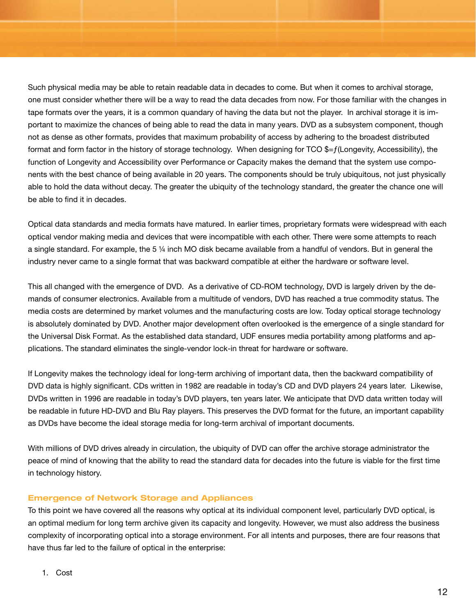Such physical media may be able to retain readable data in decades to come. But when it comes to archival storage, one must consider whether there will be a way to read the data decades from now. For those familiar with the changes in tape formats over the years, it is a common quandary of having the data but not the player. In archival storage it is important to maximize the chances of being able to read the data in many years. DVD as a subsystem component, though not as dense as other formats, provides that maximum probability of access by adhering to the broadest distributed format and form factor in the history of storage technology. When designing for TCO \$=f(Longevity, Accessibility), the function of Longevity and Accessibility over Performance or Capacity makes the demand that the system use components with the best chance of being available in 20 years. The components should be truly ubiquitous, not just physically able to hold the data without decay. The greater the ubiquity of the technology standard, the greater the chance one will be able to find it in decades.

Optical data standards and media formats have matured. In earlier times, proprietary formats were widespread with each optical vendor making media and devices that were incompatible with each other. There were some attempts to reach a single standard. For example, the 5 ¼ inch MO disk became available from a handful of vendors. But in general the industry never came to a single format that was backward compatible at either the hardware or software level.

This all changed with the emergence of DVD. As a derivative of CD-ROM technology, DVD is largely driven by the demands of consumer electronics. Available from a multitude of vendors, DVD has reached a true commodity status. The media costs are determined by market volumes and the manufacturing costs are low. Today optical storage technology is absolutely dominated by DVD. Another major development often overlooked is the emergence of a single standard for the Universal Disk Format. As the established data standard, UDF ensures media portability among platforms and applications. The standard eliminates the single-vendor lock-in threat for hardware or software.

If Longevity makes the technology ideal for long-term archiving of important data, then the backward compatibility of DVD data is highly significant. CDs written in 1982 are readable in today's CD and DVD players 24 years later. Likewise, DVDs written in 1996 are readable in today's DVD players, ten years later. We anticipate that DVD data written today will be readable in future HD-DVD and Blu Ray players. This preserves the DVD format for the future, an important capability as DVDs have become the ideal storage media for long-term archival of important documents.

With millions of DVD drives already in circulation, the ubiquity of DVD can offer the archive storage administrator the peace of mind of knowing that the ability to read the standard data for decades into the future is viable for the first time in technology history.

#### **Emergence of Network Storage and Appliances**

To this point we have covered all the reasons why optical at its individual component level, particularly DVD optical, is an optimal medium for long term archive given its capacity and longevity. However, we must also address the business complexity of incorporating optical into a storage environment. For all intents and purposes, there are four reasons that have thus far led to the failure of optical in the enterprise: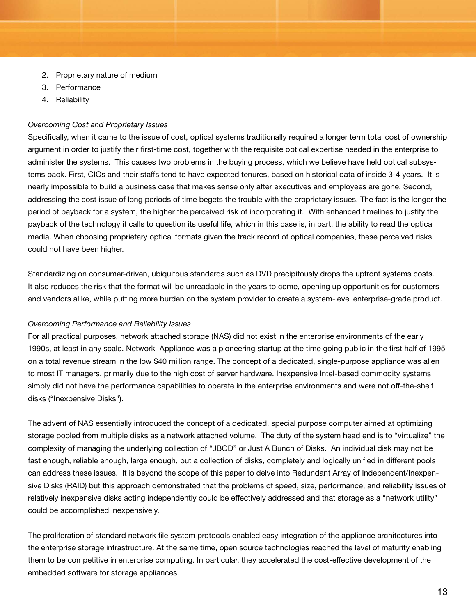- 2. Proprietary nature of medium
- 3. Performance
- 4. Reliability

## *Overcoming Cost and Proprietary Issues*

Specifically, when it came to the issue of cost, optical systems traditionally required a longer term total cost of ownership argument in order to justify their first-time cost, together with the requisite optical expertise needed in the enterprise to administer the systems. This causes two problems in the buying process, which we believe have held optical subsystems back. First, CIOs and their staffs tend to have expected tenures, based on historical data of inside 3-4 years. It is nearly impossible to build a business case that makes sense only after executives and employees are gone. Second, addressing the cost issue of long periods of time begets the trouble with the proprietary issues. The fact is the longer the period of payback for a system, the higher the perceived risk of incorporating it. With enhanced timelines to justify the payback of the technology it calls to question its useful life, which in this case is, in part, the ability to read the optical media. When choosing proprietary optical formats given the track record of optical companies, these perceived risks could not have been higher.

Standardizing on consumer-driven, ubiquitous standards such as DVD precipitously drops the upfront systems costs. It also reduces the risk that the format will be unreadable in the years to come, opening up opportunities for customers and vendors alike, while putting more burden on the system provider to create a system-level enterprise-grade product.

#### *Overcoming Performance and Reliability Issues*

For all practical purposes, network attached storage (NAS) did not exist in the enterprise environments of the early 1990s, at least in any scale. Network Appliance was a pioneering startup at the time going public in the first half of 1995 on a total revenue stream in the low \$40 million range. The concept of a dedicated, single-purpose appliance was alien to most IT managers, primarily due to the high cost of server hardware. Inexpensive Intel-based commodity systems simply did not have the performance capabilities to operate in the enterprise environments and were not off-the-shelf disks ("Inexpensive Disks").

The advent of NAS essentially introduced the concept of a dedicated, special purpose computer aimed at optimizing storage pooled from multiple disks as a network attached volume. The duty of the system head end is to "virtualize" the complexity of managing the underlying collection of "JBOD" or Just A Bunch of Disks. An individual disk may not be fast enough, reliable enough, large enough, but a collection of disks, completely and logically unified in different pools can address these issues. It is beyond the scope of this paper to delve into Redundant Array of Independent/Inexpensive Disks (RAID) but this approach demonstrated that the problems of speed, size, performance, and reliability issues of relatively inexpensive disks acting independently could be effectively addressed and that storage as a "network utility" could be accomplished inexpensively.

The proliferation of standard network file system protocols enabled easy integration of the appliance architectures into the enterprise storage infrastructure. At the same time, open source technologies reached the level of maturity enabling them to be competitive in enterprise computing. In particular, they accelerated the cost-effective development of the embedded software for storage appliances.